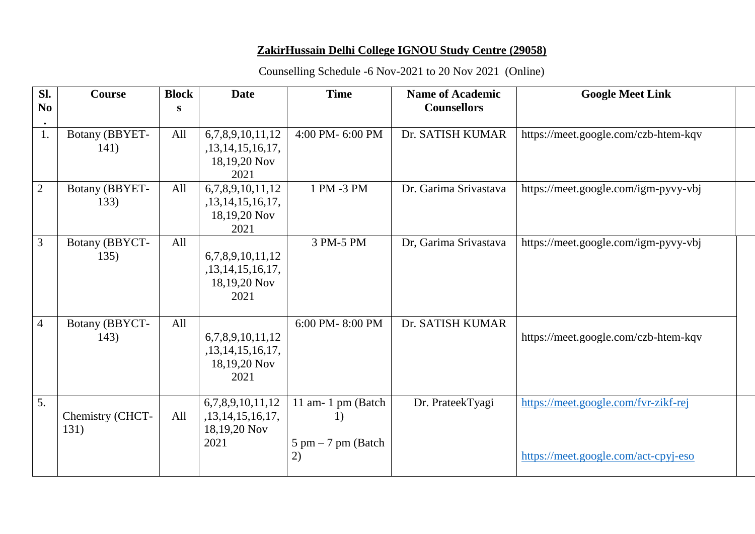## **ZakirHussain Delhi College IGNOU Study Centre (29058)**

## Counselling Schedule -6 Nov-2021 to 20 Nov 2021 (Online)

| Sl.<br>N <sub>0</sub> | <b>Course</b>            | <b>Block</b><br>S | <b>Date</b>                                                  | <b>Time</b>                                                           | <b>Name of Academic</b><br><b>Counsellors</b> | <b>Google Meet Link</b>                                                      |
|-----------------------|--------------------------|-------------------|--------------------------------------------------------------|-----------------------------------------------------------------------|-----------------------------------------------|------------------------------------------------------------------------------|
| 1.                    | Botany (BBYET-<br>141)   | All               | 6,7,8,9,10,11,12<br>,13,14,15,16,17,<br>18,19,20 Nov<br>2021 | 4:00 PM-6:00 PM                                                       | Dr. SATISH KUMAR                              | https://meet.google.com/czb-htem-kqv                                         |
| $\overline{2}$        | Botany (BBYET-<br>133)   | All               | 6,7,8,9,10,11,12<br>,13,14,15,16,17,<br>18,19,20 Nov<br>2021 | 1 PM -3 PM                                                            | Dr. Garima Srivastava                         | https://meet.google.com/igm-pyvy-vbj                                         |
| $\overline{3}$        | Botany (BBYCT-<br>135)   | All               | 6,7,8,9,10,11,12<br>,13,14,15,16,17,<br>18,19,20 Nov<br>2021 | 3 PM-5 PM                                                             | Dr, Garima Srivastava                         | https://meet.google.com/igm-pyvy-vbj                                         |
| $\overline{4}$        | Botany (BBYCT-<br>143)   | All               | 6,7,8,9,10,11,12<br>,13,14,15,16,17,<br>18,19,20 Nov<br>2021 | 6:00 PM-8:00 PM                                                       | Dr. SATISH KUMAR                              | https://meet.google.com/czb-htem-kqv                                         |
| 5.                    | Chemistry (CHCT-<br>131) | All               | 6,7,8,9,10,11,12<br>,13,14,15,16,17,<br>18,19,20 Nov<br>2021 | 11 am-1 pm (Batch<br>1)<br>$5 \text{ pm} - 7 \text{ pm}$ (Batch<br>2) | Dr. PrateekTyagi                              | https://meet.google.com/fvr-zikf-rej<br>https://meet.google.com/act-cpyj-eso |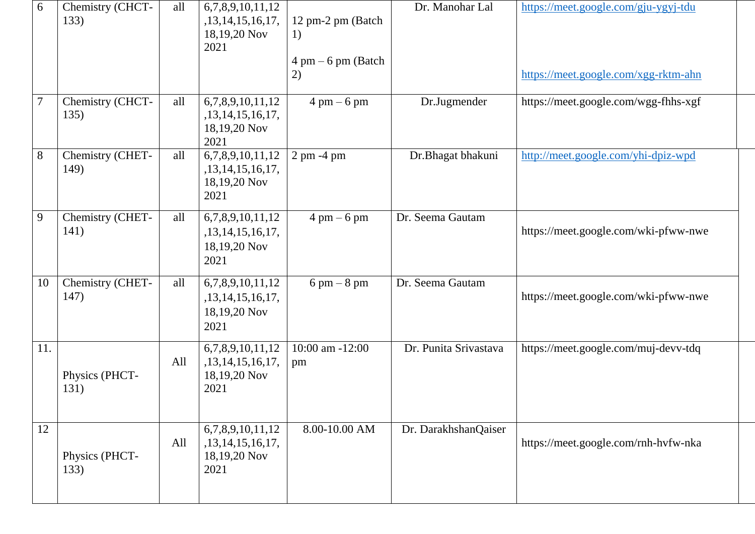| 6              | Chemistry (CHCT-<br>133) | all | 6,7,8,9,10,11,12<br>,13,14,15,16,17,<br>18,19,20 Nov<br>2021      | 12 pm-2 pm (Batch<br>1)<br>$4 \text{ pm} - 6 \text{ pm}$ (Batch<br>2) | Dr. Manohar Lal       | https://meet.google.com/gju-ygyj-tdu<br>https://meet.google.com/xgg-rktm-ahn |  |
|----------------|--------------------------|-----|-------------------------------------------------------------------|-----------------------------------------------------------------------|-----------------------|------------------------------------------------------------------------------|--|
| $\overline{7}$ | Chemistry (CHCT-<br>135) | all | 6,7,8,9,10,11,12<br>,13,14,15,16,17,<br>18,19,20 Nov<br>2021      | $4 \text{ pm} - 6 \text{ pm}$                                         | Dr.Jugmender          | https://meet.google.com/wgg-fhhs-xgf                                         |  |
| 8              | Chemistry (CHET-<br>149) | all | 6,7,8,9,10,11,12<br>,13,14,15,16,17,<br>18,19,20 Nov<br>2021      | $2 \text{ pm } -4 \text{ pm}$                                         | Dr.Bhagat bhakuni     | http://meet.google.com/yhi-dpiz-wpd                                          |  |
| 9              | Chemistry (CHET-<br>141) | all | 6,7,8,9,10,11,12<br>,13,14,15,16,17,<br>18,19,20 Nov<br>2021      | $4 \text{ pm} - 6 \text{ pm}$                                         | Dr. Seema Gautam      | https://meet.google.com/wki-pfww-nwe                                         |  |
| 10             | Chemistry (CHET-<br>147) | all | 6,7,8,9,10,11,12<br>,13,14,15,16,17,<br>18,19,20 Nov<br>2021      | $6 \text{ pm} - 8 \text{ pm}$                                         | Dr. Seema Gautam      | https://meet.google.com/wki-pfww-nwe                                         |  |
| 11.            | Physics (PHCT-<br>131)   | All | 6,7,8,9,10,11,12<br>, 13, 14, 15, 16, 17,<br>18,19,20 Nov<br>2021 | 10:00 am -12:00<br>pm                                                 | Dr. Punita Srivastava | https://meet.google.com/muj-devv-tdq                                         |  |
| 12             | Physics (PHCT-<br>133)   | All | 6,7,8,9,10,11,12<br>,13,14,15,16,17,<br>18,19,20 Nov<br>2021      | 8.00-10.00 AM                                                         | Dr. DarakhshanQaiser  | https://meet.google.com/rnh-hvfw-nka                                         |  |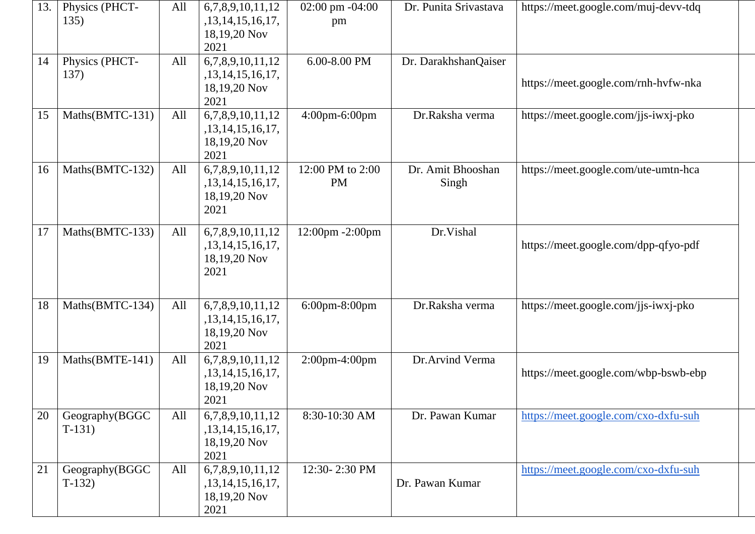| 13. | Physics (PHCT-<br>135)     | All | 6,7,8,9,10,11,12<br>,13,14,15,16,17,<br>18,19,20 Nov<br>2021 | $02:00 \text{ pm } -04:00$<br>pm | Dr. Punita Srivastava      | https://meet.google.com/muj-devv-tdq |  |
|-----|----------------------------|-----|--------------------------------------------------------------|----------------------------------|----------------------------|--------------------------------------|--|
| 14  | Physics (PHCT-<br>137)     | All | 6,7,8,9,10,11,12<br>,13,14,15,16,17,<br>18,19,20 Nov<br>2021 | 6.00-8.00 PM                     | Dr. DarakhshanQaiser       | https://meet.google.com/rnh-hvfw-nka |  |
| 15  | Maths(BMTC-131)            | All | 6,7,8,9,10,11,12<br>,13,14,15,16,17,<br>18,19,20 Nov<br>2021 | 4:00pm-6:00pm                    | Dr.Raksha verma            | https://meet.google.com/jjs-iwxj-pko |  |
| 16  | Maths(BMTC-132)            | All | 6,7,8,9,10,11,12<br>,13,14,15,16,17,<br>18,19,20 Nov<br>2021 | 12:00 PM to 2:00<br><b>PM</b>    | Dr. Amit Bhooshan<br>Singh | https://meet.google.com/ute-umtn-hca |  |
| 17  | Maths(BMTC-133)            | All | 6,7,8,9,10,11,12<br>,13,14,15,16,17,<br>18,19,20 Nov<br>2021 | 12:00pm -2:00pm                  | Dr.Vishal                  | https://meet.google.com/dpp-qfyo-pdf |  |
| 18  | Maths(BMTC-134)            | All | 6,7,8,9,10,11,12<br>,13,14,15,16,17,<br>18,19,20 Nov<br>2021 | 6:00pm-8:00pm                    | Dr.Raksha verma            | https://meet.google.com/jjs-iwxj-pko |  |
| 19  | Maths(BMTE-141)            | All | 6,7,8,9,10,11,12<br>,13,14,15,16,17,<br>18,19,20 Nov<br>2021 | $2:00$ pm-4:00pm                 | Dr.Arvind Verma            | https://meet.google.com/wbp-bswb-ebp |  |
| 20  | Geography(BGGC<br>$T-131)$ | All | 6,7,8,9,10,11,12<br>,13,14,15,16,17,<br>18,19,20 Nov<br>2021 | 8:30-10:30 AM                    | Dr. Pawan Kumar            | https://meet.google.com/cxo-dxfu-suh |  |
| 21  | Geography(BGGC<br>$T-132$  | All | 6,7,8,9,10,11,12<br>,13,14,15,16,17,<br>18,19,20 Nov<br>2021 | 12:30-2:30 PM                    | Dr. Pawan Kumar            | https://meet.google.com/cxo-dxfu-suh |  |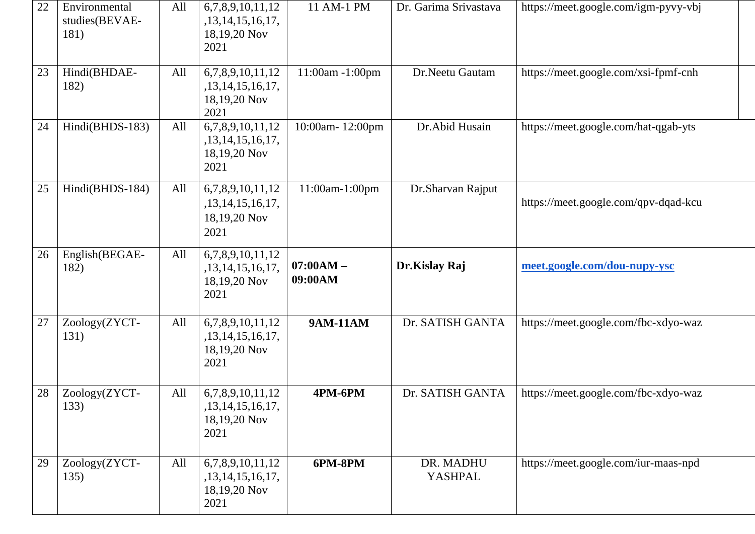| 22 | Environmental<br>studies(BEVAE-<br>181) | All | 6,7,8,9,10,11,12<br>,13,14,15,16,17,<br>18,19,20 Nov<br>2021      | 11 AM-1 PM             | Dr. Garima Srivastava       | https://meet.google.com/igm-pyvy-vbj |  |
|----|-----------------------------------------|-----|-------------------------------------------------------------------|------------------------|-----------------------------|--------------------------------------|--|
| 23 | Hindi(BHDAE-<br>182)                    | All | 6,7,8,9,10,11,12<br>,13,14,15,16,17,<br>18,19,20 Nov<br>2021      | 11:00am -1:00pm        | Dr.Neetu Gautam             | https://meet.google.com/xsi-fpmf-cnh |  |
| 24 | Hindi(BHDS-183)                         | All | 6,7,8,9,10,11,12<br>,13,14,15,16,17,<br>18,19,20 Nov<br>2021      | 10:00am-12:00pm        | Dr.Abid Husain              | https://meet.google.com/hat-qgab-yts |  |
| 25 | Hindi(BHDS-184)                         | All | 6,7,8,9,10,11,12<br>,13,14,15,16,17,<br>18,19,20 Nov<br>2021      | 11:00am-1:00pm         | Dr.Sharvan Rajput           | https://meet.google.com/qpv-dqad-kcu |  |
| 26 | English(BEGAE-<br>182)                  | All | 6,7,8,9,10,11,12<br>,13,14,15,16,17,<br>18,19,20 Nov<br>2021      | $07:00AM -$<br>09:00AM | Dr.Kislay Raj               | meet.google.com/dou-nupy-ysc         |  |
| 27 | Zoology(ZYCT-<br>131)                   | All | 6,7,8,9,10,11,12<br>, 13, 14, 15, 16, 17,<br>18,19,20 Nov<br>2021 | <b>9AM-11AM</b>        | Dr. SATISH GANTA            | https://meet.google.com/fbc-xdyo-waz |  |
| 28 | Zoology(ZYCT-<br>133)                   | All | 6,7,8,9,10,11,12<br>, 13, 14, 15, 16, 17,<br>18,19,20 Nov<br>2021 | 4PM-6PM                | Dr. SATISH GANTA            | https://meet.google.com/fbc-xdyo-waz |  |
| 29 | Zoology(ZYCT-<br>135)                   | All | 6,7,8,9,10,11,12<br>,13,14,15,16,17,<br>18,19,20 Nov<br>2021      | 6PM-8PM                | DR. MADHU<br><b>YASHPAL</b> | https://meet.google.com/iur-maas-npd |  |